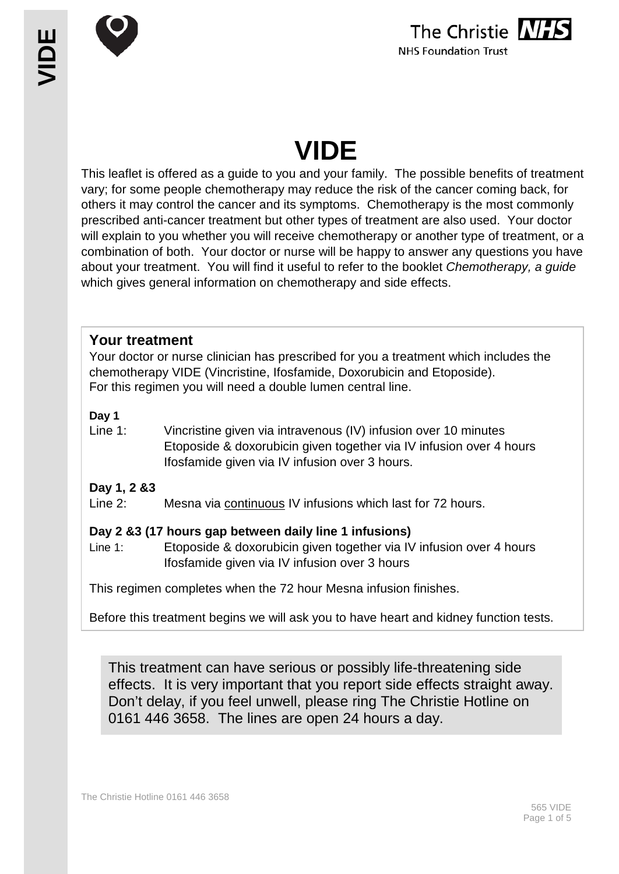

# **VIDE**

This leaflet is offered as a guide to you and your family. The possible benefits of treatment vary; for some people chemotherapy may reduce the risk of the cancer coming back, for others it may control the cancer and its symptoms. Chemotherapy is the most commonly prescribed anti-cancer treatment but other types of treatment are also used. Your doctor will explain to you whether you will receive chemotherapy or another type of treatment, or a combination of both. Your doctor or nurse will be happy to answer any questions you have about your treatment. You will find it useful to refer to the booklet *Chemotherapy, a guide* which gives general information on chemotherapy and side effects.

# **Your treatment**

Your doctor or nurse clinician has prescribed for you a treatment which includes the chemotherapy VIDE (Vincristine, Ifosfamide, Doxorubicin and Etoposide). For this regimen you will need a double lumen central line.

## **Day 1**

Line 1: Vincristine given via intravenous (IV) infusion over 10 minutes Etoposide & doxorubicin given together via IV infusion over 4 hours Ifosfamide given via IV infusion over 3 hours.

## **Day 1, 2 &3**

Line 2: Mesna via continuous IV infusions which last for 72 hours.

## **Day 2 &3 (17 hours gap between daily line 1 infusions)**

Line 1: Etoposide & doxorubicin given together via IV infusion over 4 hours Ifosfamide given via IV infusion over 3 hours

This regimen completes when the 72 hour Mesna infusion finishes.

Before this treatment begins we will ask you to have heart and kidney function tests.

This treatment can have serious or possibly life-threatening side effects. It is very important that you report side effects straight away. Don't delay, if you feel unwell, please ring The Christie Hotline on 0161 446 3658. The lines are open 24 hours a day.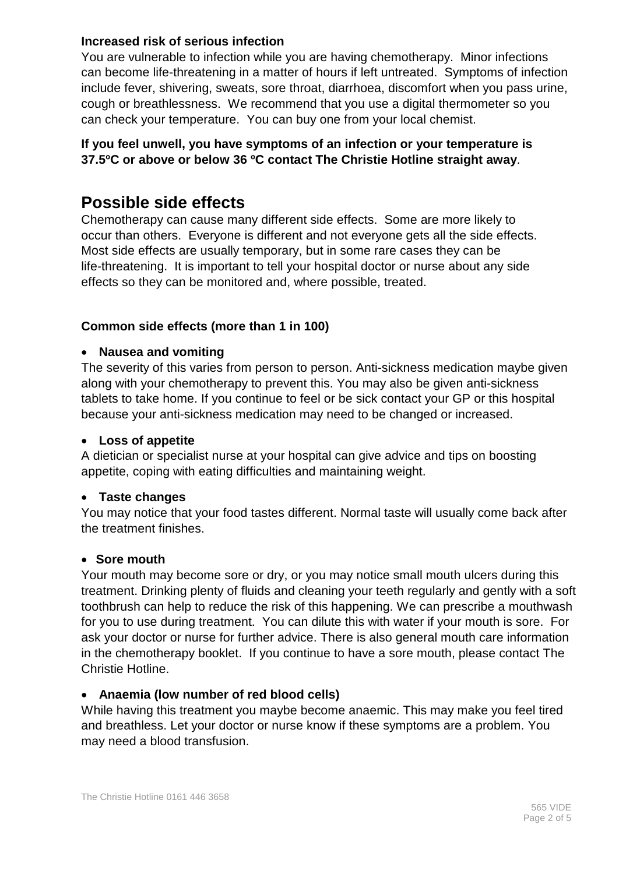#### **Increased risk of serious infection**

You are vulnerable to infection while you are having chemotherapy. Minor infections can become life-threatening in a matter of hours if left untreated. Symptoms of infection include fever, shivering, sweats, sore throat, diarrhoea, discomfort when you pass urine, cough or breathlessness. We recommend that you use a digital thermometer so you can check your temperature. You can buy one from your local chemist.

#### **If you feel unwell, you have symptoms of an infection or your temperature is 37.5ºC or above or below 36 ºC contact The Christie Hotline straight away**.

# **Possible side effects**

Chemotherapy can cause many different side effects. Some are more likely to occur than others. Everyone is different and not everyone gets all the side effects. Most side effects are usually temporary, but in some rare cases they can be life-threatening. It is important to tell your hospital doctor or nurse about any side effects so they can be monitored and, where possible, treated.

#### **Common side effects (more than 1 in 100)**

#### • **Nausea and vomiting**

The severity of this varies from person to person. Anti-sickness medication maybe given along with your chemotherapy to prevent this. You may also be given anti-sickness tablets to take home. If you continue to feel or be sick contact your GP or this hospital because your anti-sickness medication may need to be changed or increased.

#### • **Loss of appetite**

A dietician or specialist nurse at your hospital can give advice and tips on boosting appetite, coping with eating difficulties and maintaining weight.

#### • **Taste changes**

You may notice that your food tastes different. Normal taste will usually come back after the treatment finishes.

#### • **Sore mouth**

Your mouth may become sore or dry, or you may notice small mouth ulcers during this treatment. Drinking plenty of fluids and cleaning your teeth regularly and gently with a soft toothbrush can help to reduce the risk of this happening. We can prescribe a mouthwash for you to use during treatment. You can dilute this with water if your mouth is sore. For ask your doctor or nurse for further advice. There is also general mouth care information in the chemotherapy booklet. If you continue to have a sore mouth, please contact The Christie Hotline.

#### • **Anaemia (low number of red blood cells)**

While having this treatment you maybe become anaemic. This may make you feel tired and breathless. Let your doctor or nurse know if these symptoms are a problem. You may need a blood transfusion.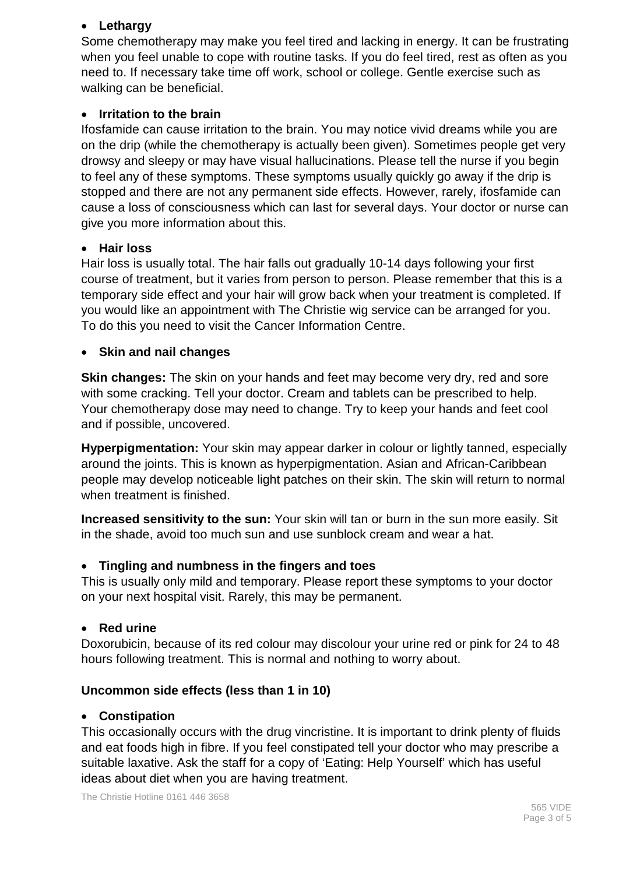#### • **Lethargy**

Some chemotherapy may make you feel tired and lacking in energy. It can be frustrating when you feel unable to cope with routine tasks. If you do feel tired, rest as often as you need to. If necessary take time off work, school or college. Gentle exercise such as walking can be beneficial.

#### • **Irritation to the brain**

Ifosfamide can cause irritation to the brain. You may notice vivid dreams while you are on the drip (while the chemotherapy is actually been given). Sometimes people get very drowsy and sleepy or may have visual hallucinations. Please tell the nurse if you begin to feel any of these symptoms. These symptoms usually quickly go away if the drip is stopped and there are not any permanent side effects. However, rarely, ifosfamide can cause a loss of consciousness which can last for several days. Your doctor or nurse can give you more information about this.

#### • **Hair loss**

Hair loss is usually total. The hair falls out gradually 10-14 days following your first course of treatment, but it varies from person to person. Please remember that this is a temporary side effect and your hair will grow back when your treatment is completed. If you would like an appointment with The Christie wig service can be arranged for you. To do this you need to visit the Cancer Information Centre.

#### • **Skin and nail changes**

**Skin changes:** The skin on your hands and feet may become very dry, red and sore with some cracking. Tell your doctor. Cream and tablets can be prescribed to help. Your chemotherapy dose may need to change. Try to keep your hands and feet cool and if possible, uncovered.

**Hyperpigmentation:** Your skin may appear darker in colour or lightly tanned, especially around the joints. This is known as hyperpigmentation. Asian and African-Caribbean people may develop noticeable light patches on their skin. The skin will return to normal when treatment is finished.

**Increased sensitivity to the sun:** Your skin will tan or burn in the sun more easily. Sit in the shade, avoid too much sun and use sunblock cream and wear a hat.

#### • **Tingling and numbness in the fingers and toes**

This is usually only mild and temporary. Please report these symptoms to your doctor on your next hospital visit. Rarely, this may be permanent.

#### • **Red urine**

Doxorubicin, because of its red colour may discolour your urine red or pink for 24 to 48 hours following treatment. This is normal and nothing to worry about.

#### **Uncommon side effects (less than 1 in 10)**

#### • **Constipation**

This occasionally occurs with the drug vincristine. It is important to drink plenty of fluids and eat foods high in fibre. If you feel constipated tell your doctor who may prescribe a suitable laxative. Ask the staff for a copy of 'Eating: Help Yourself' which has useful ideas about diet when you are having treatment.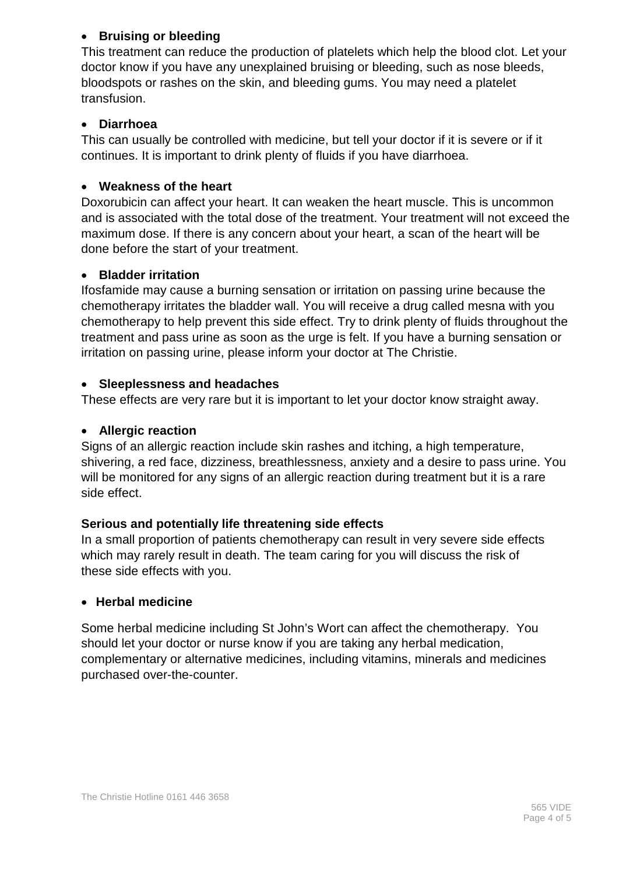### • **Bruising or bleeding**

This treatment can reduce the production of platelets which help the blood clot. Let your doctor know if you have any unexplained bruising or bleeding, such as nose bleeds, bloodspots or rashes on the skin, and bleeding gums. You may need a platelet transfusion.

#### • **Diarrhoea**

This can usually be controlled with medicine, but tell your doctor if it is severe or if it continues. It is important to drink plenty of fluids if you have diarrhoea.

#### • **Weakness of the heart**

Doxorubicin can affect your heart. It can weaken the heart muscle. This is uncommon and is associated with the total dose of the treatment. Your treatment will not exceed the maximum dose. If there is any concern about your heart, a scan of the heart will be done before the start of your treatment.

#### • **Bladder irritation**

Ifosfamide may cause a burning sensation or irritation on passing urine because the chemotherapy irritates the bladder wall. You will receive a drug called mesna with you chemotherapy to help prevent this side effect. Try to drink plenty of fluids throughout the treatment and pass urine as soon as the urge is felt. If you have a burning sensation or irritation on passing urine, please inform your doctor at The Christie.

#### • **Sleeplessness and headaches**

These effects are very rare but it is important to let your doctor know straight away.

#### • **Allergic reaction**

Signs of an allergic reaction include skin rashes and itching, a high temperature, shivering, a red face, dizziness, breathlessness, anxiety and a desire to pass urine. You will be monitored for any signs of an allergic reaction during treatment but it is a rare side effect.

#### **Serious and potentially life threatening side effects**

In a small proportion of patients chemotherapy can result in very severe side effects which may rarely result in death. The team caring for you will discuss the risk of these side effects with you.

#### • **Herbal medicine**

Some herbal medicine including St John's Wort can affect the chemotherapy. You should let your doctor or nurse know if you are taking any herbal medication, complementary or alternative medicines, including vitamins, minerals and medicines purchased over-the-counter.